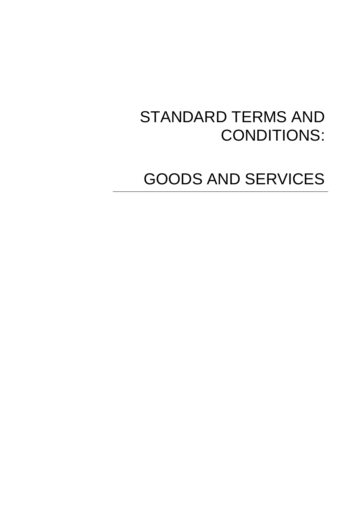# STANDARD TERMS AND CONDITIONS:

GOODS AND SERVICES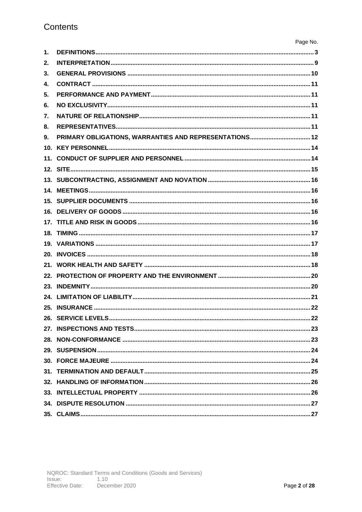| $\mathbf{1}$ . |                    |
|----------------|--------------------|
| 2.             |                    |
| 3.             |                    |
| 4.             |                    |
| 5.             |                    |
| 6.             |                    |
| 7.             |                    |
| 8.             |                    |
| 9.             |                    |
|                |                    |
|                |                    |
|                |                    |
|                |                    |
|                |                    |
|                |                    |
|                |                    |
|                |                    |
|                |                    |
|                |                    |
|                |                    |
|                |                    |
|                |                    |
|                |                    |
|                |                    |
|                |                    |
|                | 26. SERVICE LEVELS |
|                |                    |
|                |                    |
|                |                    |
|                |                    |
|                |                    |
|                |                    |
|                |                    |
|                |                    |
|                |                    |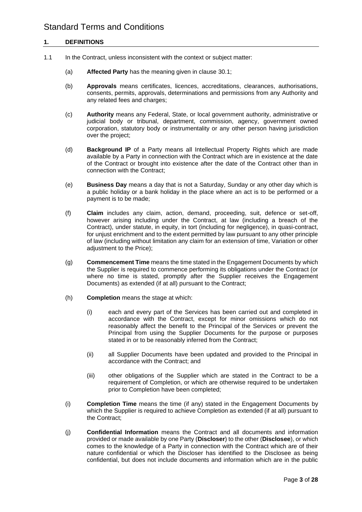### **1. DEFINITIONS**

- 1.1 In the Contract, unless inconsistent with the context or subject matter:
	- (a) **Affected Party** has the meaning given in clause 30.1;
	- (b) **Approvals** means certificates, licences, accreditations, clearances, authorisations, consents, permits, approvals, determinations and permissions from any Authority and any related fees and charges;
	- (c) **Authority** means any Federal, State, or local government authority, administrative or judicial body or tribunal, department, commission, agency, government owned corporation, statutory body or instrumentality or any other person having jurisdiction over the project;
	- (d) **Background IP** of a Party means all Intellectual Property Rights which are made available by a Party in connection with the Contract which are in existence at the date of the Contract or brought into existence after the date of the Contract other than in connection with the Contract;
	- (e) **Business Day** means a day that is not a Saturday, Sunday or any other day which is a public holiday or a bank holiday in the place where an act is to be performed or a payment is to be made;
	- (f) **Claim** includes any claim, action, demand, proceeding, suit, defence or set-off, however arising including under the Contract, at law (including a breach of the Contract), under statute, in equity, in tort (including for negligence), in quasi-contract, for unjust enrichment and to the extent permitted by law pursuant to any other principle of law (including without limitation any claim for an extension of time, Variation or other adjustment to the Price);
	- (g) **Commencement Time** means the time stated in the Engagement Documents by which the Supplier is required to commence performing its obligations under the Contract (or where no time is stated, promptly after the Supplier receives the Engagement Documents) as extended (if at all) pursuant to the Contract;
	- (h) **Completion** means the stage at which:
		- (i) each and every part of the Services has been carried out and completed in accordance with the Contract, except for minor omissions which do not reasonably affect the benefit to the Principal of the Services or prevent the Principal from using the Supplier Documents for the purpose or purposes stated in or to be reasonably inferred from the Contract;
		- (ii) all Supplier Documents have been updated and provided to the Principal in accordance with the Contract; and
		- (iii) other obligations of the Supplier which are stated in the Contract to be a requirement of Completion, or which are otherwise required to be undertaken prior to Completion have been completed;
	- (i) **Completion Time** means the time (if any) stated in the Engagement Documents by which the Supplier is required to achieve Completion as extended (if at all) pursuant to the Contract;
	- (j) **Confidential Information** means the Contract and all documents and information provided or made available by one Party (**Discloser**) to the other (**Disclosee**), or which comes to the knowledge of a Party in connection with the Contract which are of their nature confidential or which the Discloser has identified to the Disclosee as being confidential, but does not include documents and information which are in the public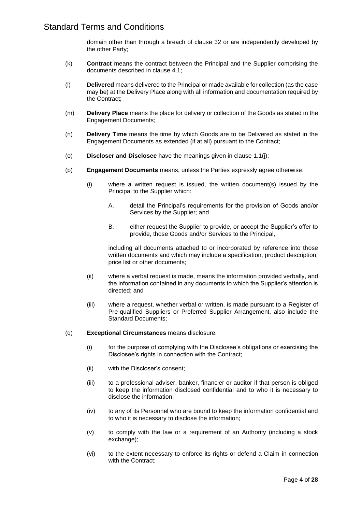domain other than through a breach of clause 32 or are independently developed by the other Party;

- (k) **Contract** means the contract between the Principal and the Supplier comprising the documents described in clause 4.1;
- (l) **Delivered** means delivered to the Principal or made available for collection (as the case may be) at the Delivery Place along with all information and documentation required by the Contract;
- (m) **Delivery Place** means the place for delivery or collection of the Goods as stated in the Engagement Documents;
- (n) **Delivery Time** means the time by which Goods are to be Delivered as stated in the Engagement Documents as extended (if at all) pursuant to the Contract;
- (o) **Discloser and Disclosee** have the meanings given in clause 1.1(j);
- (p) **Engagement Documents** means, unless the Parties expressly agree otherwise:
	- (i) where a written request is issued, the written document(s) issued by the Principal to the Supplier which:
		- A. detail the Principal's requirements for the provision of Goods and/or Services by the Supplier; and
		- B. either request the Supplier to provide, or accept the Supplier's offer to provide, those Goods and/or Services to the Principal,

including all documents attached to or incorporated by reference into those written documents and which may include a specification, product description, price list or other documents;

- (ii) where a verbal request is made, means the information provided verbally, and the information contained in any documents to which the Supplier's attention is directed; and
- (iii) where a request, whether verbal or written, is made pursuant to a Register of Pre-qualified Suppliers or Preferred Supplier Arrangement, also include the Standard Documents;
- (q) **Exceptional Circumstances** means disclosure:
	- (i) for the purpose of complying with the Disclosee's obligations or exercising the Disclosee's rights in connection with the Contract;
	- (ii) with the Discloser's consent;
	- (iii) to a professional adviser, banker, financier or auditor if that person is obliged to keep the information disclosed confidential and to who it is necessary to disclose the information;
	- (iv) to any of its Personnel who are bound to keep the information confidential and to who it is necessary to disclose the information;
	- (v) to comply with the law or a requirement of an Authority (including a stock exchange);
	- (vi) to the extent necessary to enforce its rights or defend a Claim in connection with the Contract;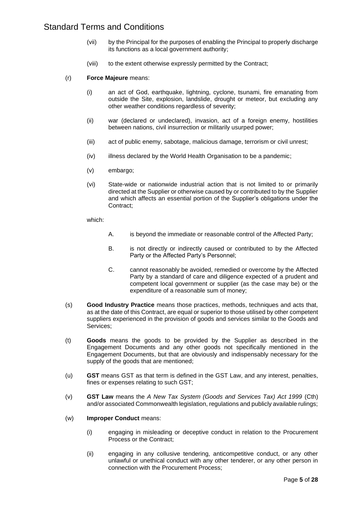- (vii) by the Principal for the purposes of enabling the Principal to properly discharge its functions as a local government authority;
- (viii) to the extent otherwise expressly permitted by the Contract;
- (r) **Force Majeure** means:
	- (i) an act of God, earthquake, lightning, cyclone, tsunami, fire emanating from outside the Site, explosion, landslide, drought or meteor, but excluding any other weather conditions regardless of severity;
	- (ii) war (declared or undeclared), invasion, act of a foreign enemy, hostilities between nations, civil insurrection or militarily usurped power;
	- (iii) act of public enemy, sabotage, malicious damage, terrorism or civil unrest;
	- (iv) illness declared by the World Health Organisation to be a pandemic;
	- (v) embargo;
	- (vi) State-wide or nationwide industrial action that is not limited to or primarily directed at the Supplier or otherwise caused by or contributed to by the Supplier and which affects an essential portion of the Supplier's obligations under the Contract;

which:

- A. is beyond the immediate or reasonable control of the Affected Party;
- B. is not directly or indirectly caused or contributed to by the Affected Party or the Affected Party's Personnel;
- C. cannot reasonably be avoided, remedied or overcome by the Affected Party by a standard of care and diligence expected of a prudent and competent local government or supplier (as the case may be) or the expenditure of a reasonable sum of money;
- (s) **Good Industry Practice** means those practices, methods, techniques and acts that, as at the date of this Contract, are equal or superior to those utilised by other competent suppliers experienced in the provision of goods and services similar to the Goods and Services;
- (t) **Goods** means the goods to be provided by the Supplier as described in the Engagement Documents and any other goods not specifically mentioned in the Engagement Documents, but that are obviously and indispensably necessary for the supply of the goods that are mentioned;
- (u) **GST** means GST as that term is defined in the GST Law, and any interest, penalties, fines or expenses relating to such GST;
- (v) **GST Law** means the *A New Tax System (Goods and Services Tax) Act 1999* (Cth) and/or associated Commonwealth legislation, regulations and publicly available rulings;
- (w) **Improper Conduct** means:
	- (i) engaging in misleading or deceptive conduct in relation to the Procurement Process or the Contract;
	- (ii) engaging in any collusive tendering, anticompetitive conduct, or any other unlawful or unethical conduct with any other tenderer, or any other person in connection with the Procurement Process;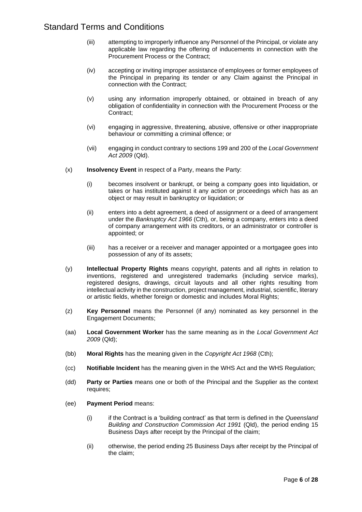- (iii) attempting to improperly influence any Personnel of the Principal, or violate any applicable law regarding the offering of inducements in connection with the Procurement Process or the Contract;
- (iv) accepting or inviting improper assistance of employees or former employees of the Principal in preparing its tender or any Claim against the Principal in connection with the Contract;
- (v) using any information improperly obtained, or obtained in breach of any obligation of confidentiality in connection with the Procurement Process or the Contract;
- (vi) engaging in aggressive, threatening, abusive, offensive or other inappropriate behaviour or committing a criminal offence; or
- (vii) engaging in conduct contrary to sections 199 and 200 of the *Local Government Act 2009* (Qld).
- (x) **Insolvency Event** in respect of a Party, means the Party:
	- (i) becomes insolvent or bankrupt, or being a company goes into liquidation, or takes or has instituted against it any action or proceedings which has as an object or may result in bankruptcy or liquidation; or
	- (ii) enters into a debt agreement, a deed of assignment or a deed of arrangement under the *Bankruptcy Act 1966* (Cth)*,* or, being a company, enters into a deed of company arrangement with its creditors, or an administrator or controller is appointed; or
	- (iii) has a receiver or a receiver and manager appointed or a mortgagee goes into possession of any of its assets;
- (y) **Intellectual Property Rights** means copyright, patents and all rights in relation to inventions, registered and unregistered trademarks (including service marks), registered designs, drawings, circuit layouts and all other rights resulting from intellectual activity in the construction, project management, industrial, scientific, literary or artistic fields, whether foreign or domestic and includes Moral Rights;
- (z) **Key Personnel** means the Personnel (if any) nominated as key personnel in the Engagement Documents;
- (aa) **Local Government Worker** has the same meaning as in the *Local Government Act 2009* (Qld);
- (bb) **Moral Rights** has the meaning given in the *Copyright Act 1968* (Cth);
- (cc) **Notifiable Incident** has the meaning given in the WHS Act and the WHS Regulation;
- (dd) **Party or Parties** means one or both of the Principal and the Supplier as the context requires;
- (ee) **Payment Period** means:
	- (i) if the Contract is a 'building contract' as that term is defined in the *Queensland Building and Construction Commission Act 1991* (Qld), the period ending 15 Business Days after receipt by the Principal of the claim;
	- (ii) otherwise, the period ending 25 Business Days after receipt by the Principal of the claim;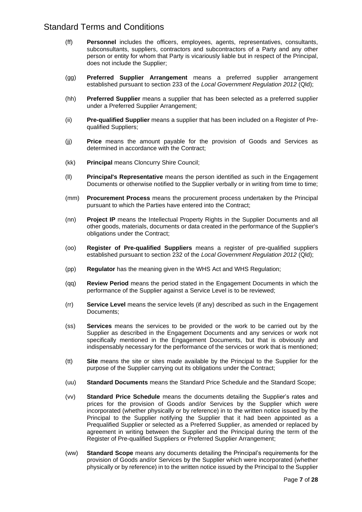- (ff) **Personnel** includes the officers, employees, agents, representatives, consultants, subconsultants, suppliers, contractors and subcontractors of a Party and any other person or entity for whom that Party is vicariously liable but in respect of the Principal, does not include the Supplier;
- (gg) **Preferred Supplier Arrangement** means a preferred supplier arrangement established pursuant to section 233 of the *Local Government Regulation 2012* (Qld);
- (hh) **Preferred Supplier** means a supplier that has been selected as a preferred supplier under a Preferred Supplier Arrangement;
- (ii) **Pre-qualified Supplier** means a supplier that has been included on a Register of Prequalified Suppliers;
- (jj) **Price** means the amount payable for the provision of Goods and Services as determined in accordance with the Contract;
- (kk) **Principal** means Cloncurry Shire Council;
- (ll) **Principal's Representative** means the person identified as such in the Engagement Documents or otherwise notified to the Supplier verbally or in writing from time to time;
- (mm) **Procurement Process** means the procurement process undertaken by the Principal pursuant to which the Parties have entered into the Contract;
- (nn) **Project IP** means the Intellectual Property Rights in the Supplier Documents and all other goods, materials, documents or data created in the performance of the Supplier's obligations under the Contract;
- (oo) **Register of Pre-qualified Suppliers** means a register of pre-qualified suppliers established pursuant to section 232 of the *Local Government Regulation 2012* (Qld);
- (pp) **Regulator** has the meaning given in the WHS Act and WHS Regulation;
- (qq) **Review Period** means the period stated in the Engagement Documents in which the performance of the Supplier against a Service Level is to be reviewed;
- (rr) **Service Level** means the service levels (if any) described as such in the Engagement Documents;
- (ss) **Services** means the services to be provided or the work to be carried out by the Supplier as described in the Engagement Documents and any services or work not specifically mentioned in the Engagement Documents, but that is obviously and indispensably necessary for the performance of the services or work that is mentioned;
- (tt) **Site** means the site or sites made available by the Principal to the Supplier for the purpose of the Supplier carrying out its obligations under the Contract;
- (uu) **Standard Documents** means the Standard Price Schedule and the Standard Scope;
- (vv) **Standard Price Schedule** means the documents detailing the Supplier's rates and prices for the provision of Goods and/or Services by the Supplier which were incorporated (whether physically or by reference) in to the written notice issued by the Principal to the Supplier notifying the Supplier that it had been appointed as a Prequalified Supplier or selected as a Preferred Supplier, as amended or replaced by agreement in writing between the Supplier and the Principal during the term of the Register of Pre-qualified Suppliers or Preferred Supplier Arrangement;
- (ww) **Standard Scope** means any documents detailing the Principal's requirements for the provision of Goods and/or Services by the Supplier which were incorporated (whether physically or by reference) in to the written notice issued by the Principal to the Supplier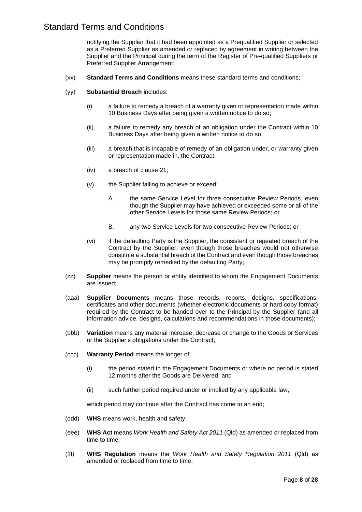notifying the Supplier that it had been appointed as a Prequalified Supplier or selected as a Preferred Supplier as amended or replaced by agreement in writing between the Supplier and the Principal during the term of the Register of Pre-qualified Suppliers or Preferred Supplier Arrangement;

- (xx) **Standard Terms and Conditions** means these standard terms and conditions;
- (yy) **Substantial Breach** includes:
	- (i) a failure to remedy a breach of a warranty given or representation made within 10 Business Days after being given a written notice to do so;
	- (ii) a failure to remedy any breach of an obligation under the Contract within 10 Business Days after being given a written notice to do so;
	- (iii) a breach that is incapable of remedy of an obligation under, or warranty given or representation made in, the Contract;
	- (iv) a breach of clause 21;
	- (v) the Supplier failing to achieve or exceed:
		- A. the same Service Level for three consecutive Review Periods, even though the Supplier may have achieved or exceeded some or all of the other Service Levels for those same Review Periods; or
		- B. any two Service Levels for two consecutive Review Periods; or
	- (vi) if the defaulting Party is the Supplier, the consistent or repeated breach of the Contract by the Supplier, even though those breaches would not otherwise constitute a substantial breach of the Contract and even though those breaches may be promptly remedied by the defaulting Party;
- (zz) **Supplier** means the person or entity identified to whom the Engagement Documents are issued;
- (aaa) **Supplier Documents** means those records, reports, designs, specifications, certificates and other documents (whether electronic documents or hard copy format) required by the Contract to be handed over to the Principal by the Supplier (and all information advice, designs, calculations and recommendations in those documents);
- (bbb) **Variation** means any material increase, decrease or change to the Goods or Services or the Supplier's obligations under the Contract;
- (ccc) **Warranty Period** means the longer of:
	- (i) the period stated in the Engagement Documents or where no period is stated 12 months after the Goods are Delivered; and
	- (ii) such further period required under or implied by any applicable law,

which period may continue after the Contract has come to an end;

- (ddd) **WHS** means work, health and safety;
- (eee) **WHS Act** means *Work Health and Safety Act 2011* (Qld) as amended or replaced from time to time;
- (fff) **WHS Regulation** means the *Work Health and Safety Regulation 2011* (Qld) as amended or replaced from time to time;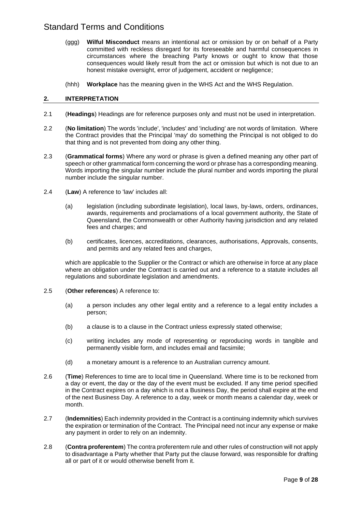- (ggg) **Wilful Misconduct** means an intentional act or omission by or on behalf of a Party committed with reckless disregard for its foreseeable and harmful consequences in circumstances where the breaching Party knows or ought to know that those consequences would likely result from the act or omission but which is not due to an honest mistake oversight, error of judgement, accident or negligence;
- (hhh) **Workplace** has the meaning given in the WHS Act and the WHS Regulation.

### **2. INTERPRETATION**

- 2.1 (**Headings**) Headings are for reference purposes only and must not be used in interpretation.
- 2.2 (**No limitation**) The words 'include', 'includes' and 'including' are not words of limitation. Where the Contract provides that the Principal 'may' do something the Principal is not obliged to do that thing and is not prevented from doing any other thing.
- 2.3 (**Grammatical forms**) Where any word or phrase is given a defined meaning any other part of speech or other grammatical form concerning the word or phrase has a corresponding meaning. Words importing the singular number include the plural number and words importing the plural number include the singular number.
- 2.4 (**Law**) A reference to 'law' includes all:
	- (a) legislation (including subordinate legislation), local laws, by-laws, orders, ordinances, awards, requirements and proclamations of a local government authority, the State of Queensland, the Commonwealth or other Authority having jurisdiction and any related fees and charges; and
	- (b) certificates, licences, accreditations, clearances, authorisations, Approvals, consents, and permits and any related fees and charges,

which are applicable to the Supplier or the Contract or which are otherwise in force at any place where an obligation under the Contract is carried out and a reference to a statute includes all regulations and subordinate legislation and amendments.

- 2.5 (**Other references**) A reference to:
	- (a) a person includes any other legal entity and a reference to a legal entity includes a person;
	- (b) a clause is to a clause in the Contract unless expressly stated otherwise;
	- (c) writing includes any mode of representing or reproducing words in tangible and permanently visible form, and includes email and facsimile;
	- (d) a monetary amount is a reference to an Australian currency amount.
- 2.6 (**Time**) References to time are to local time in Queensland. Where time is to be reckoned from a day or event, the day or the day of the event must be excluded. If any time period specified in the Contract expires on a day which is not a Business Day, the period shall expire at the end of the next Business Day. A reference to a day, week or month means a calendar day, week or month.
- 2.7 (**Indemnities**) Each indemnity provided in the Contract is a continuing indemnity which survives the expiration or termination of the Contract. The Principal need not incur any expense or make any payment in order to rely on an indemnity.
- 2.8 (**Contra proferentem**) The contra proferentem rule and other rules of construction will not apply to disadvantage a Party whether that Party put the clause forward, was responsible for drafting all or part of it or would otherwise benefit from it.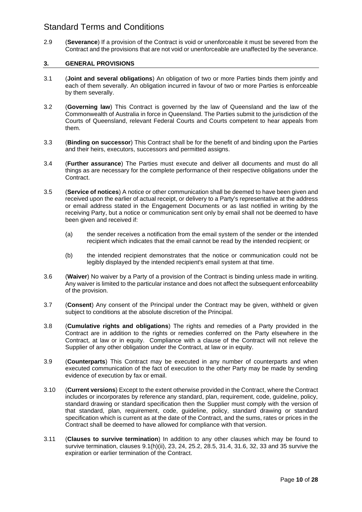2.9 (**Severance**) If a provision of the Contract is void or unenforceable it must be severed from the Contract and the provisions that are not void or unenforceable are unaffected by the severance.

### **3. GENERAL PROVISIONS**

- 3.1 (**Joint and several obligations**) An obligation of two or more Parties binds them jointly and each of them severally. An obligation incurred in favour of two or more Parties is enforceable by them severally.
- 3.2 (**Governing law**) This Contract is governed by the law of Queensland and the law of the Commonwealth of Australia in force in Queensland. The Parties submit to the jurisdiction of the Courts of Queensland, relevant Federal Courts and Courts competent to hear appeals from them.
- 3.3 (**Binding on successor**) This Contract shall be for the benefit of and binding upon the Parties and their heirs, executors, successors and permitted assigns.
- 3.4 (**Further assurance**) The Parties must execute and deliver all documents and must do all things as are necessary for the complete performance of their respective obligations under the Contract.
- 3.5 (**Service of notices**) A notice or other communication shall be deemed to have been given and received upon the earlier of actual receipt, or delivery to a Party's representative at the address or email address stated in the Engagement Documents or as last notified in writing by the receiving Party, but a notice or communication sent only by email shall not be deemed to have been given and received if:
	- (a) the sender receives a notification from the email system of the sender or the intended recipient which indicates that the email cannot be read by the intended recipient; or
	- (b) the intended recipient demonstrates that the notice or communication could not be legibly displayed by the intended recipient's email system at that time.
- 3.6 (**Waiver**) No waiver by a Party of a provision of the Contract is binding unless made in writing. Any waiver is limited to the particular instance and does not affect the subsequent enforceability of the provision.
- 3.7 (**Consent**) Any consent of the Principal under the Contract may be given, withheld or given subject to conditions at the absolute discretion of the Principal.
- 3.8 (**Cumulative rights and obligations**) The rights and remedies of a Party provided in the Contract are in addition to the rights or remedies conferred on the Party elsewhere in the Contract, at law or in equity. Compliance with a clause of the Contract will not relieve the Supplier of any other obligation under the Contract, at law or in equity.
- 3.9 (**Counterparts**) This Contract may be executed in any number of counterparts and when executed communication of the fact of execution to the other Party may be made by sending evidence of execution by fax or email.
- 3.10 (**Current versions**) Except to the extent otherwise provided in the Contract, where the Contract includes or incorporates by reference any standard, plan, requirement, code, guideline, policy, standard drawing or standard specification then the Supplier must comply with the version of that standard, plan, requirement, code, guideline, policy, standard drawing or standard specification which is current as at the date of the Contract, and the sums, rates or prices in the Contract shall be deemed to have allowed for compliance with that version.
- 3.11 (**Clauses to survive termination**) In addition to any other clauses which may be found to survive termination, clauses 9.1(h)(ii), 23, 24, 25.2, 28.5, 31.4, 31.6, 32, 33 and 35 survive the expiration or earlier termination of the Contract.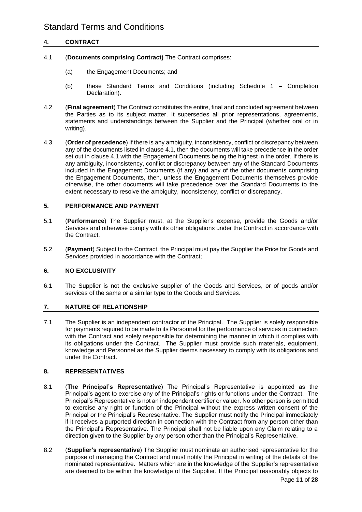### **4. CONTRACT**

- 4.1 (**Documents comprising Contract)** The Contract comprises:
	- (a) the Engagement Documents; and
	- (b) these Standard Terms and Conditions (including Schedule 1 Completion Declaration).
- 4.2 (**Final agreement**) The Contract constitutes the entire, final and concluded agreement between the Parties as to its subject matter. It supersedes all prior representations, agreements, statements and understandings between the Supplier and the Principal (whether oral or in writing).
- 4.3 (**Order of precedence**) If there is any ambiguity, inconsistency, conflict or discrepancy between any of the documents listed in clause 4.1, then the documents will take precedence in the order set out in clause 4.1 with the Engagement Documents being the highest in the order. If there is any ambiguity, inconsistency, conflict or discrepancy between any of the Standard Documents included in the Engagement Documents (if any) and any of the other documents comprising the Engagement Documents, then, unless the Engagement Documents themselves provide otherwise, the other documents will take precedence over the Standard Documents to the extent necessary to resolve the ambiguity, inconsistency, conflict or discrepancy.

### **5. PERFORMANCE AND PAYMENT**

- 5.1 (**Performance**) The Supplier must, at the Supplier's expense, provide the Goods and/or Services and otherwise comply with its other obligations under the Contract in accordance with the Contract.
- 5.2 (**Payment**) Subject to the Contract, the Principal must pay the Supplier the Price for Goods and Services provided in accordance with the Contract;

### **6. NO EXCLUSIVITY**

6.1 The Supplier is not the exclusive supplier of the Goods and Services, or of goods and/or services of the same or a similar type to the Goods and Services.

### **7. NATURE OF RELATIONSHIP**

7.1 The Supplier is an independent contractor of the Principal. The Supplier is solely responsible for payments required to be made to its Personnel for the performance of services in connection with the Contract and solely responsible for determining the manner in which it complies with its obligations under the Contract. The Supplier must provide such materials, equipment, knowledge and Personnel as the Supplier deems necessary to comply with its obligations and under the Contract.

### **8. REPRESENTATIVES**

- 8.1 (**The Principal's Representative**) The Principal's Representative is appointed as the Principal's agent to exercise any of the Principal's rights or functions under the Contract. The Principal's Representative is not an independent certifier or valuer. No other person is permitted to exercise any right or function of the Principal without the express written consent of the Principal or the Principal's Representative. The Supplier must notify the Principal immediately if it receives a purported direction in connection with the Contract from any person other than the Principal's Representative. The Principal shall not be liable upon any Claim relating to a direction given to the Supplier by any person other than the Principal's Representative.
- 8.2 (**Supplier's representative**) The Supplier must nominate an authorised representative for the purpose of managing the Contract and must notify the Principal in writing of the details of the nominated representative. Matters which are in the knowledge of the Supplier's representative are deemed to be within the knowledge of the Supplier. If the Principal reasonably objects to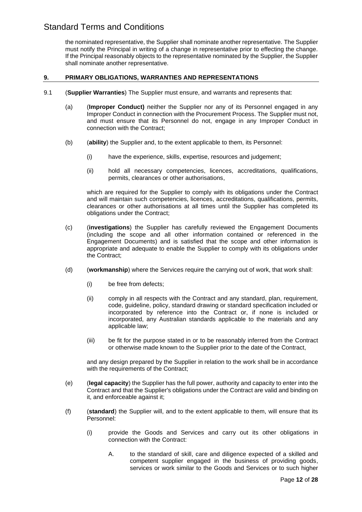the nominated representative, the Supplier shall nominate another representative. The Supplier must notify the Principal in writing of a change in representative prior to effecting the change. If the Principal reasonably objects to the representative nominated by the Supplier, the Supplier shall nominate another representative.

### **9. PRIMARY OBLIGATIONS, WARRANTIES AND REPRESENTATIONS**

- 9.1 (**Supplier Warranties**) The Supplier must ensure, and warrants and represents that:
	- (a) (**Improper Conduct)** neither the Supplier nor any of its Personnel engaged in any Improper Conduct in connection with the Procurement Process. The Supplier must not, and must ensure that its Personnel do not, engage in any Improper Conduct in connection with the Contract;
	- (b) (**ability**) the Supplier and, to the extent applicable to them, its Personnel:
		- (i) have the experience, skills, expertise, resources and judgement;
		- (ii) hold all necessary competencies, licences, accreditations, qualifications, permits, clearances or other authorisations,

which are required for the Supplier to comply with its obligations under the Contract and will maintain such competencies, licences, accreditations, qualifications, permits, clearances or other authorisations at all times until the Supplier has completed its obligations under the Contract;

- (c) (**investigations**) the Supplier has carefully reviewed the Engagement Documents (including the scope and all other information contained or referenced in the Engagement Documents) and is satisfied that the scope and other information is appropriate and adequate to enable the Supplier to comply with its obligations under the Contract;
- (d) (**workmanship**) where the Services require the carrying out of work, that work shall:
	- (i) be free from defects;
	- (ii) comply in all respects with the Contract and any standard, plan, requirement, code, guideline, policy, standard drawing or standard specification included or incorporated by reference into the Contract or, if none is included or incorporated, any Australian standards applicable to the materials and any applicable law;
	- (iii) be fit for the purpose stated in or to be reasonably inferred from the Contract or otherwise made known to the Supplier prior to the date of the Contract,

and any design prepared by the Supplier in relation to the work shall be in accordance with the requirements of the Contract;

- (e) (**legal capacity**) the Supplier has the full power, authority and capacity to enter into the Contract and that the Supplier's obligations under the Contract are valid and binding on it, and enforceable against it;
- (f) (**standard**) the Supplier will, and to the extent applicable to them, will ensure that its Personnel:
	- (i) provide the Goods and Services and carry out its other obligations in connection with the Contract:
		- A. to the standard of skill, care and diligence expected of a skilled and competent supplier engaged in the business of providing goods, services or work similar to the Goods and Services or to such higher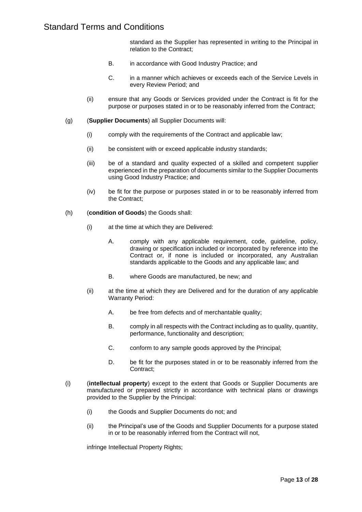standard as the Supplier has represented in writing to the Principal in relation to the Contract;

- B. in accordance with Good Industry Practice; and
- C. in a manner which achieves or exceeds each of the Service Levels in every Review Period; and
- (ii) ensure that any Goods or Services provided under the Contract is fit for the purpose or purposes stated in or to be reasonably inferred from the Contract;
- (g) (**Supplier Documents**) all Supplier Documents will:
	- (i) comply with the requirements of the Contract and applicable law;
	- (ii) be consistent with or exceed applicable industry standards;
	- (iii) be of a standard and quality expected of a skilled and competent supplier experienced in the preparation of documents similar to the Supplier Documents using Good Industry Practice; and
	- (iv) be fit for the purpose or purposes stated in or to be reasonably inferred from the Contract;
- (h) (**condition of Goods**) the Goods shall:
	- (i) at the time at which they are Delivered:
		- A. comply with any applicable requirement, code, guideline, policy, drawing or specification included or incorporated by reference into the Contract or, if none is included or incorporated, any Australian standards applicable to the Goods and any applicable law; and
		- B. where Goods are manufactured, be new; and
	- (ii) at the time at which they are Delivered and for the duration of any applicable Warranty Period:
		- A. be free from defects and of merchantable quality;
		- B. comply in all respects with the Contract including as to quality, quantity, performance, functionality and description;
		- C. conform to any sample goods approved by the Principal;
		- D. be fit for the purposes stated in or to be reasonably inferred from the Contract;
- (i) (**intellectual property**) except to the extent that Goods or Supplier Documents are manufactured or prepared strictly in accordance with technical plans or drawings provided to the Supplier by the Principal:
	- (i) the Goods and Supplier Documents do not; and
	- (ii) the Principal's use of the Goods and Supplier Documents for a purpose stated in or to be reasonably inferred from the Contract will not,

infringe Intellectual Property Rights;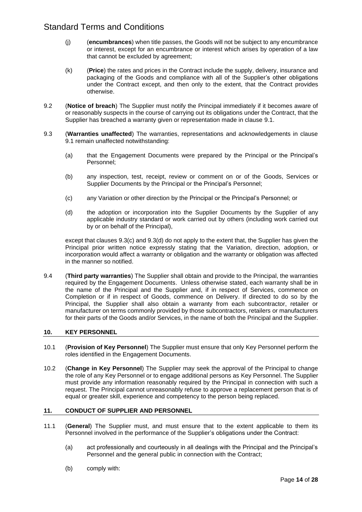- (j) (**encumbrances**) when title passes, the Goods will not be subject to any encumbrance or interest, except for an encumbrance or interest which arises by operation of a law that cannot be excluded by agreement;
- (k) (**Price**) the rates and prices in the Contract include the supply, delivery, insurance and packaging of the Goods and compliance with all of the Supplier's other obligations under the Contract except, and then only to the extent, that the Contract provides otherwise.
- 9.2 (**Notice of breach**) The Supplier must notify the Principal immediately if it becomes aware of or reasonably suspects in the course of carrying out its obligations under the Contract, that the Supplier has breached a warranty given or representation made in clause 9.1.
- 9.3 (**Warranties unaffected**) The warranties, representations and acknowledgements in clause 9.1 remain unaffected notwithstanding:
	- (a) that the Engagement Documents were prepared by the Principal or the Principal's Personnel;
	- (b) any inspection, test, receipt, review or comment on or of the Goods, Services or Supplier Documents by the Principal or the Principal's Personnel;
	- (c) any Variation or other direction by the Principal or the Principal's Personnel; or
	- (d) the adoption or incorporation into the Supplier Documents by the Supplier of any applicable industry standard or work carried out by others (including work carried out by or on behalf of the Principal),

except that clauses 9.3(c) and 9.3(d) do not apply to the extent that, the Supplier has given the Principal prior written notice expressly stating that the Variation, direction, adoption, or incorporation would affect a warranty or obligation and the warranty or obligation was affected in the manner so notified.

9.4 (**Third party warranties**) The Supplier shall obtain and provide to the Principal, the warranties required by the Engagement Documents. Unless otherwise stated, each warranty shall be in the name of the Principal and the Supplier and, if in respect of Services, commence on Completion or if in respect of Goods, commence on Delivery. If directed to do so by the Principal, the Supplier shall also obtain a warranty from each subcontractor, retailer or manufacturer on terms commonly provided by those subcontractors, retailers or manufacturers for their parts of the Goods and/or Services, in the name of both the Principal and the Supplier.

### **10. KEY PERSONNEL**

- 10.1 (**Provision of Key Personnel**) The Supplier must ensure that only Key Personnel perform the roles identified in the Engagement Documents.
- 10.2 (**Change in Key Personnel**) The Supplier may seek the approval of the Principal to change the role of any Key Personnel or to engage additional persons as Key Personnel. The Supplier must provide any information reasonably required by the Principal in connection with such a request. The Principal cannot unreasonably refuse to approve a replacement person that is of equal or greater skill, experience and competency to the person being replaced.

### **11. CONDUCT OF SUPPLIER AND PERSONNEL**

- 11.1 (**General**) The Supplier must, and must ensure that to the extent applicable to them its Personnel involved in the performance of the Supplier's obligations under the Contract:
	- (a) act professionally and courteously in all dealings with the Principal and the Principal's Personnel and the general public in connection with the Contract;
	- (b) comply with: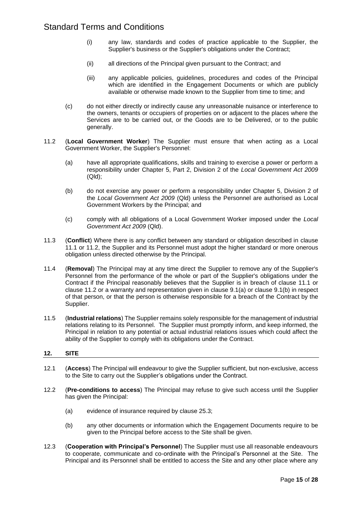- (i) any law, standards and codes of practice applicable to the Supplier, the Supplier's business or the Supplier's obligations under the Contract;
- (ii) all directions of the Principal given pursuant to the Contract; and
- (iii) any applicable policies, guidelines, procedures and codes of the Principal which are identified in the Engagement Documents or which are publicly available or otherwise made known to the Supplier from time to time; and
- (c) do not either directly or indirectly cause any unreasonable nuisance or interference to the owners, tenants or occupiers of properties on or adjacent to the places where the Services are to be carried out, or the Goods are to be Delivered, or to the public generally.
- 11.2 (**Local Government Worker**) The Supplier must ensure that when acting as a Local Government Worker, the Supplier's Personnel:
	- (a) have all appropriate qualifications, skills and training to exercise a power or perform a responsibility under Chapter 5, Part 2, Division 2 of the *Local Government Act 2009* (Qld);
	- (b) do not exercise any power or perform a responsibility under Chapter 5, Division 2 of the *Local Government Act 2009* (Qld) unless the Personnel are authorised as Local Government Workers by the Principal; and
	- (c) comply with all obligations of a Local Government Worker imposed under the *Local Government Act 2009* (Qld).
- 11.3 (**Conflict**) Where there is any conflict between any standard or obligation described in clause 11.1 or 11.2, the Supplier and its Personnel must adopt the higher standard or more onerous obligation unless directed otherwise by the Principal.
- 11.4 (**Removal**) The Principal may at any time direct the Supplier to remove any of the Supplier's Personnel from the performance of the whole or part of the Supplier's obligations under the Contract if the Principal reasonably believes that the Supplier is in breach of clause 11.1 or clause 11.2 or a warranty and representation given in clause 9.1(a) or clause 9.1(b) in respect of that person, or that the person is otherwise responsible for a breach of the Contract by the Supplier.
- 11.5 (**Industrial relations**) The Supplier remains solely responsible for the management of industrial relations relating to its Personnel. The Supplier must promptly inform, and keep informed, the Principal in relation to any potential or actual industrial relations issues which could affect the ability of the Supplier to comply with its obligations under the Contract.

### **12. SITE**

- 12.1 (**Access**) The Principal will endeavour to give the Supplier sufficient, but non-exclusive, access to the Site to carry out the Supplier's obligations under the Contract.
- 12.2 (**Pre-conditions to access**) The Principal may refuse to give such access until the Supplier has given the Principal:
	- (a) evidence of insurance required by clause 25.3;
	- (b) any other documents or information which the Engagement Documents require to be given to the Principal before access to the Site shall be given.
- 12.3 (**Cooperation with Principal's Personnel**) The Supplier must use all reasonable endeavours to cooperate, communicate and co-ordinate with the Principal's Personnel at the Site. The Principal and its Personnel shall be entitled to access the Site and any other place where any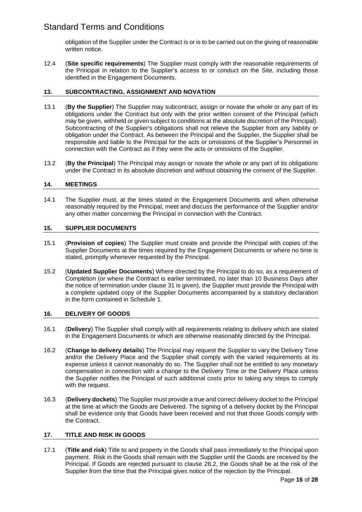obligation of the Supplier under the Contract is or is to be carried out on the giving of reasonable written notice.

12.4 (**Site specific requirements**) The Supplier must comply with the reasonable requirements of the Principal in relation to the Supplier's access to or conduct on the Site, including those identified in the Engagement Documents.

### **13. SUBCONTRACTING, ASSIGNMENT AND NOVATION**

- 13.1 (**By the Supplier**) The Supplier may subcontract, assign or novate the whole or any part of its obligations under the Contract but only with the prior written consent of the Principal (which may be given, withheld or given subject to conditions at the absolute discretion of the Principal). Subcontracting of the Supplier's obligations shall not relieve the Supplier from any liability or obligation under the Contract. As between the Principal and the Supplier, the Supplier shall be responsible and liable to the Principal for the acts or omissions of the Supplier's Personnel in connection with the Contract as if they were the acts or omissions of the Supplier.
- 13.2 (**By the Principal**) The Principal may assign or novate the whole or any part of its obligations under the Contract in its absolute discretion and without obtaining the consent of the Supplier.

### **14. MEETINGS**

14.1 The Supplier must, at the times stated in the Engagement Documents and when otherwise reasonably required by the Principal, meet and discuss the performance of the Supplier and/or any other matter concerning the Principal in connection with the Contract.

### **15. SUPPLIER DOCUMENTS**

- 15.1 (**Provision of copies**) The Supplier must create and provide the Principal with copies of the Supplier Documents at the times required by the Engagement Documents or where no time is stated, promptly whenever requested by the Principal.
- 15.2 (**Updated Supplier Documents**) Where directed by the Principal to do so, as a requirement of Completion (or where the Contract is earlier terminated, no later than 10 Business Days after the notice of termination under clause 31 is given), the Supplier must provide the Principal with a complete updated copy of the Supplier Documents accompanied by a statutory declaration in the form contained in Schedule 1.

### **16. DELIVERY OF GOODS**

- 16.1 (**Delivery**) The Supplier shall comply with all requirements relating to delivery which are stated in the Engagement Documents or which are otherwise reasonably directed by the Principal.
- 16.2 (**Change to delivery details**) The Principal may request the Supplier to vary the Delivery Time and/or the Delivery Place and the Supplier shall comply with the varied requirements at its expense unless it cannot reasonably do so. The Supplier shall not be entitled to any monetary compensation in connection with a change to the Delivery Time or the Delivery Place unless the Supplier notifies the Principal of such additional costs prior to taking any steps to comply with the request.
- 16.3 (**Delivery dockets**) The Supplier must provide a true and correct delivery docket to the Principal at the time at which the Goods are Delivered. The signing of a delivery docket by the Principal shall be evidence only that Goods have been received and not that those Goods comply with the Contract.

### **17. TITLE AND RISK IN GOODS**

17.1 (**Title and risk**) Title to and property in the Goods shall pass immediately to the Principal upon payment. Risk in the Goods shall remain with the Supplier until the Goods are received by the Principal. If Goods are rejected pursuant to clause 28.2, the Goods shall be at the risk of the Supplier from the time that the Principal gives notice of the rejection by the Principal.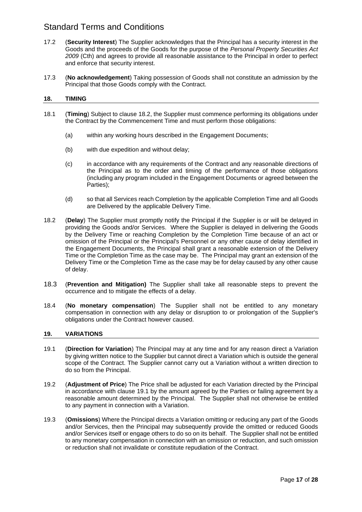- 17.2 (**Security Interest**) The Supplier acknowledges that the Principal has a security interest in the Goods and the proceeds of the Goods for the purpose of the *Personal Property Securities Act 2009* (Cth) and agrees to provide all reasonable assistance to the Principal in order to perfect and enforce that security interest.
- 17.3 (**No acknowledgement**) Taking possession of Goods shall not constitute an admission by the Principal that those Goods comply with the Contract.

### **18. TIMING**

- 18.1 (**Timing**) Subject to clause 18.2, the Supplier must commence performing its obligations under the Contract by the Commencement Time and must perform those obligations:
	- (a) within any working hours described in the Engagement Documents;
	- (b) with due expedition and without delay;
	- (c) in accordance with any requirements of the Contract and any reasonable directions of the Principal as to the order and timing of the performance of those obligations (including any program included in the Engagement Documents or agreed between the Parties);
	- (d) so that all Services reach Completion by the applicable Completion Time and all Goods are Delivered by the applicable Delivery Time.
- 18.2 (**Delay**) The Supplier must promptly notify the Principal if the Supplier is or will be delayed in providing the Goods and/or Services. Where the Supplier is delayed in delivering the Goods by the Delivery Time or reaching Completion by the Completion Time because of an act or omission of the Principal or the Principal's Personnel or any other cause of delay identified in the Engagement Documents, the Principal shall grant a reasonable extension of the Delivery Time or the Completion Time as the case may be. The Principal may grant an extension of the Delivery Time or the Completion Time as the case may be for delay caused by any other cause of delay.
- 18.3 (**Prevention and Mitigation)** The Supplier shall take all reasonable steps to prevent the occurrence and to mitigate the effects of a delay.
- 18.4 (**No monetary compensation**) The Supplier shall not be entitled to any monetary compensation in connection with any delay or disruption to or prolongation of the Supplier's obligations under the Contract however caused.

### **19. VARIATIONS**

- 19.1 (**Direction for Variation**) The Principal may at any time and for any reason direct a Variation by giving written notice to the Supplier but cannot direct a Variation which is outside the general scope of the Contract. The Supplier cannot carry out a Variation without a written direction to do so from the Principal.
- 19.2 (**Adjustment of Price**) The Price shall be adjusted for each Variation directed by the Principal in accordance with clause 19.1 by the amount agreed by the Parties or failing agreement by a reasonable amount determined by the Principal. The Supplier shall not otherwise be entitled to any payment in connection with a Variation.
- 19.3 (**Omissions**) Where the Principal directs a Variation omitting or reducing any part of the Goods and/or Services, then the Principal may subsequently provide the omitted or reduced Goods and/or Services itself or engage others to do so on its behalf. The Supplier shall not be entitled to any monetary compensation in connection with an omission or reduction, and such omission or reduction shall not invalidate or constitute repudiation of the Contract.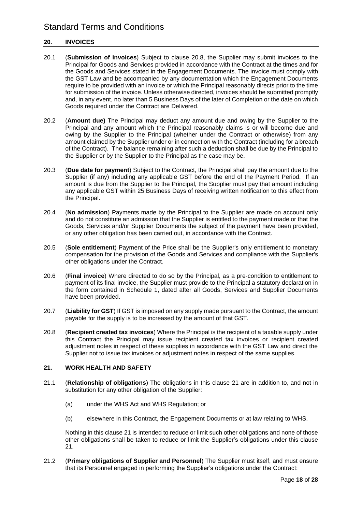### **20. INVOICES**

- 20.1 (**Submission of invoices**) Subject to clause 20.8, the Supplier may submit invoices to the Principal for Goods and Services provided in accordance with the Contract at the times and for the Goods and Services stated in the Engagement Documents. The invoice must comply with the GST Law and be accompanied by any documentation which the Engagement Documents require to be provided with an invoice or which the Principal reasonably directs prior to the time for submission of the invoice. Unless otherwise directed, invoices should be submitted promptly and, in any event, no later than 5 Business Days of the later of Completion or the date on which Goods required under the Contract are Delivered.
- 20.2 (**Amount due)** The Principal may deduct any amount due and owing by the Supplier to the Principal and any amount which the Principal reasonably claims is or will become due and owing by the Supplier to the Principal (whether under the Contract or otherwise) from any amount claimed by the Supplier under or in connection with the Contract (including for a breach of the Contract). The balance remaining after such a deduction shall be due by the Principal to the Supplier or by the Supplier to the Principal as the case may be.
- 20.3 (**Due date for payment**) Subject to the Contract, the Principal shall pay the amount due to the Supplier (if any) including any applicable GST before the end of the Payment Period. If an amount is due from the Supplier to the Principal, the Supplier must pay that amount including any applicable GST within 25 Business Days of receiving written notification to this effect from the Principal.
- 20.4 (**No admission**) Payments made by the Principal to the Supplier are made on account only and do not constitute an admission that the Supplier is entitled to the payment made or that the Goods, Services and/or Supplier Documents the subject of the payment have been provided, or any other obligation has been carried out, in accordance with the Contract.
- 20.5 (**Sole entitlement**) Payment of the Price shall be the Supplier's only entitlement to monetary compensation for the provision of the Goods and Services and compliance with the Supplier's other obligations under the Contract.
- 20.6 (**Final invoice**) Where directed to do so by the Principal, as a pre-condition to entitlement to payment of its final invoice, the Supplier must provide to the Principal a statutory declaration in the form contained in Schedule 1, dated after all Goods, Services and Supplier Documents have been provided.
- 20.7 (**Liability for GST**) If GST is imposed on any supply made pursuant to the Contract, the amount payable for the supply is to be increased by the amount of that GST.
- 20.8 (**Recipient created tax invoices**) Where the Principal is the recipient of a taxable supply under this Contract the Principal may issue recipient created tax invoices or recipient created adjustment notes in respect of these supplies in accordance with the GST Law and direct the Supplier not to issue tax invoices or adjustment notes in respect of the same supplies.

### **21. WORK HEALTH AND SAFETY**

- 21.1 (**Relationship of obligations**) The obligations in this clause 21 are in addition to, and not in substitution for any other obligation of the Supplier:
	- (a) under the WHS Act and WHS Regulation; or
	- (b) elsewhere in this Contract, the Engagement Documents or at law relating to WHS.

Nothing in this clause 21 is intended to reduce or limit such other obligations and none of those other obligations shall be taken to reduce or limit the Supplier's obligations under this clause 21.

21.2 (**Primary obligations of Supplier and Personnel**) The Supplier must itself, and must ensure that its Personnel engaged in performing the Supplier's obligations under the Contract: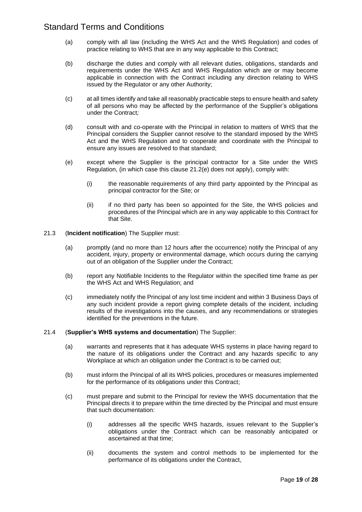- (a) comply with all law (including the WHS Act and the WHS Regulation) and codes of practice relating to WHS that are in any way applicable to this Contract;
- (b) discharge the duties and comply with all relevant duties, obligations, standards and requirements under the WHS Act and WHS Regulation which are or may become applicable in connection with the Contract including any direction relating to WHS issued by the Regulator or any other Authority;
- (c) at all times identify and take all reasonably practicable steps to ensure health and safety of all persons who may be affected by the performance of the Supplier's obligations under the Contract*;*
- (d) consult with and co-operate with the Principal in relation to matters of WHS that the Principal considers the Supplier cannot resolve to the standard imposed by the WHS Act and the WHS Regulation and to cooperate and coordinate with the Principal to ensure any issues are resolved to that standard;
- (e) except where the Supplier is the principal contractor for a Site under the WHS Regulation, (in which case this clause 21.2(e) does not apply), comply with:
	- (i) the reasonable requirements of any third party appointed by the Principal as principal contractor for the Site; or
	- (ii) if no third party has been so appointed for the Site, the WHS policies and procedures of the Principal which are in any way applicable to this Contract for that Site.

### 21.3 (**Incident notification**) The Supplier must:

- (a) promptly (and no more than 12 hours after the occurrence) notify the Principal of any accident, injury, property or environmental damage, which occurs during the carrying out of an obligation of the Supplier under the Contract;
- (b) report any Notifiable Incidents to the Regulator within the specified time frame as per the WHS Act and WHS Regulation; and
- (c) immediately notify the Principal of any lost time incident and within 3 Business Days of any such incident provide a report giving complete details of the incident, including results of the investigations into the causes, and any recommendations or strategies identified for the preventions in the future.

### 21.4 (**Supplier's WHS systems and documentation**) The Supplier:

- (a) warrants and represents that it has adequate WHS systems in place having regard to the nature of its obligations under the Contract and any hazards specific to any Workplace at which an obligation under the Contract is to be carried out;
- (b) must inform the Principal of all its WHS policies, procedures or measures implemented for the performance of its obligations under this Contract;
- (c) must prepare and submit to the Principal for review the WHS documentation that the Principal directs it to prepare within the time directed by the Principal and must ensure that such documentation:
	- (i) addresses all the specific WHS hazards, issues relevant to the Supplier's obligations under the Contract which can be reasonably anticipated or ascertained at that time;
	- (ii) documents the system and control methods to be implemented for the performance of its obligations under the Contract,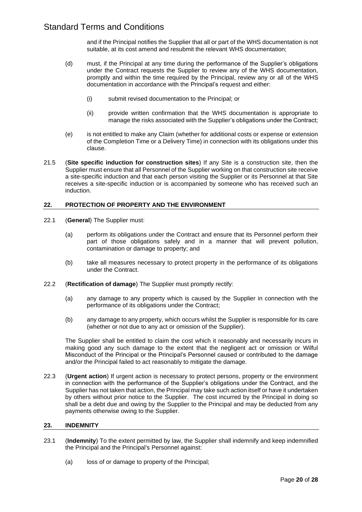and if the Principal notifies the Supplier that all or part of the WHS documentation is not suitable, at its cost amend and resubmit the relevant WHS documentation;

- (d) must, if the Principal at any time during the performance of the Supplier's obligations under the Contract requests the Supplier to review any of the WHS documentation, promptly and within the time required by the Principal, review any or all of the WHS documentation in accordance with the Principal's request and either:
	- (i) submit revised documentation to the Principal; or
	- (ii) provide written confirmation that the WHS documentation is appropriate to manage the risks associated with the Supplier's obligations under the Contract;
- (e) is not entitled to make any Claim (whether for additional costs or expense or extension of the Completion Time or a Delivery Time) in connection with its obligations under this clause.
- 21.5 (**Site specific induction for construction sites**) If any Site is a construction site, then the Supplier must ensure that all Personnel of the Supplier working on that construction site receive a site-specific induction and that each person visiting the Supplier or its Personnel at that Site receives a site-specific induction or is accompanied by someone who has received such an induction.

### **22. PROTECTION OF PROPERTY AND THE ENVIRONMENT**

- 22.1 (**General**) The Supplier must:
	- (a) perform its obligations under the Contract and ensure that its Personnel perform their part of those obligations safely and in a manner that will prevent pollution, contamination or damage to property; and
	- (b) take all measures necessary to protect property in the performance of its obligations under the Contract.
- 22.2 (**Rectification of damage**) The Supplier must promptly rectify:
	- (a) any damage to any property which is caused by the Supplier in connection with the performance of its obligations under the Contract;
	- (b) any damage to any property, which occurs whilst the Supplier is responsible for its care (whether or not due to any act or omission of the Supplier).

The Supplier shall be entitled to claim the cost which it reasonably and necessarily incurs in making good any such damage to the extent that the negligent act or omission or Wilful Misconduct of the Principal or the Principal's Personnel caused or contributed to the damage and/or the Principal failed to act reasonably to mitigate the damage.

22.3 (**Urgent action**) If urgent action is necessary to protect persons, property or the environment in connection with the performance of the Supplier's obligations under the Contract, and the Supplier has not taken that action, the Principal may take such action itself or have it undertaken by others without prior notice to the Supplier. The cost incurred by the Principal in doing so shall be a debt due and owing by the Supplier to the Principal and may be deducted from any payments otherwise owing to the Supplier.

### **23. INDEMNITY**

- 23.1 (**Indemnity**) To the extent permitted by law, the Supplier shall indemnify and keep indemnified the Principal and the Principal's Personnel against:
	- (a) loss of or damage to property of the Principal;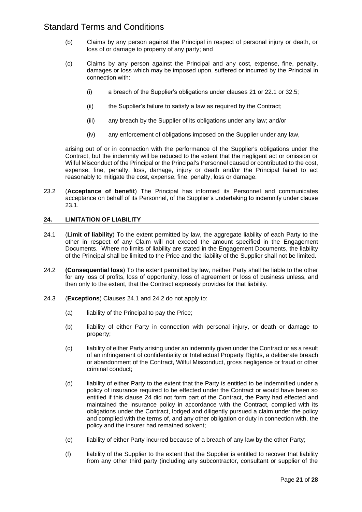- (b) Claims by any person against the Principal in respect of personal injury or death, or loss of or damage to property of any party; and
- (c) Claims by any person against the Principal and any cost, expense, fine, penalty, damages or loss which may be imposed upon, suffered or incurred by the Principal in connection with:
	- (i) a breach of the Supplier's obligations under clauses 21 or 22.1 or 32.5;
	- (ii) the Supplier's failure to satisfy a law as required by the Contract;
	- (iii) any breach by the Supplier of its obligations under any law; and/or
	- (iv) any enforcement of obligations imposed on the Supplier under any law,

arising out of or in connection with the performance of the Supplier's obligations under the Contract, but the indemnity will be reduced to the extent that the negligent act or omission or Wilful Misconduct of the Principal or the Principal's Personnel caused or contributed to the cost, expense, fine, penalty, loss, damage, injury or death and/or the Principal failed to act reasonably to mitigate the cost, expense, fine, penalty, loss or damage.

23.2 (**Acceptance of benefit**) The Principal has informed its Personnel and communicates acceptance on behalf of its Personnel, of the Supplier's undertaking to indemnify under clause 23.1.

### **24. LIMITATION OF LIABILITY**

- 24.1 (**Limit of liability**) To the extent permitted by law, the aggregate liability of each Party to the other in respect of any Claim will not exceed the amount specified in the Engagement Documents. Where no limits of liability are stated in the Engagement Documents, the liability of the Principal shall be limited to the Price and the liability of the Supplier shall not be limited.
- 24.2 **(Consequential loss**) To the extent permitted by law, neither Party shall be liable to the other for any loss of profits, loss of opportunity, loss of agreement or loss of business unless, and then only to the extent, that the Contract expressly provides for that liability.
- 24.3 (**Exceptions**) Clauses 24.1 and 24.2 do not apply to:
	- (a) liability of the Principal to pay the Price:
	- (b) liability of either Party in connection with personal injury, or death or damage to property;
	- (c) liability of either Party arising under an indemnity given under the Contract or as a result of an infringement of confidentiality or Intellectual Property Rights, a deliberate breach or abandonment of the Contract, Wilful Misconduct, gross negligence or fraud or other criminal conduct;
	- (d) liability of either Party to the extent that the Party is entitled to be indemnified under a policy of insurance required to be effected under the Contract or would have been so entitled if this clause 24 did not form part of the Contract, the Party had effected and maintained the insurance policy in accordance with the Contract, complied with its obligations under the Contract, lodged and diligently pursued a claim under the policy and complied with the terms of, and any other obligation or duty in connection with, the policy and the insurer had remained solvent;
	- (e) liability of either Party incurred because of a breach of any law by the other Party;
	- (f) liability of the Supplier to the extent that the Supplier is entitled to recover that liability from any other third party (including any subcontractor, consultant or supplier of the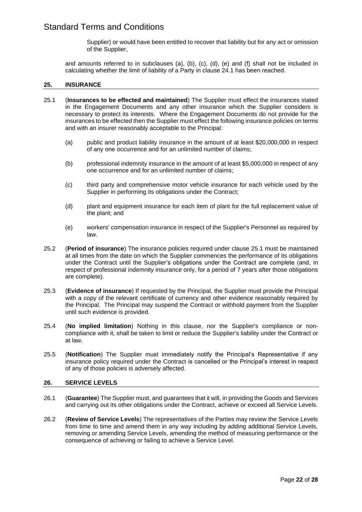Supplier) or would have been entitled to recover that liability but for any act or omission of the Supplier,

and amounts referred to in subclauses (a), (b), (c), (d), (e) and (f) shall not be included in calculating whether the limit of liability of a Party in clause 24.1 has been reached.

### **25. INSURANCE**

- 25.1 (**Insurances to be effected and maintained**) The Supplier must effect the insurances stated in the Engagement Documents and any other insurance which the Supplier considers is necessary to protect its interests. Where the Engagement Documents do not provide for the insurances to be effected then the Supplier must effect the following insurance policies on terms and with an insurer reasonably acceptable to the Principal:
	- (a) public and product liability insurance in the amount of at least \$20,000,000 in respect of any one occurrence and for an unlimited number of claims;
	- (b) professional indemnity insurance in the amount of at least \$5,000,000 in respect of any one occurrence and for an unlimited number of claims;
	- (c) third party and comprehensive motor vehicle insurance for each vehicle used by the Supplier in performing its obligations under the Contract;
	- (d) plant and equipment insurance for each item of plant for the full replacement value of the plant; and
	- (e) workers' compensation insurance in respect of the Supplier's Personnel as required by law.
- 25.2 (**Period of insurance**) The insurance policies required under clause 25.1 must be maintained at all times from the date on which the Supplier commences the performance of its obligations under the Contract until the Supplier's obligations under the Contract are complete (and, in respect of professional indemnity insurance only, for a period of 7 years after those obligations are complete).
- 25.3 (**Evidence of insurance**) If requested by the Principal, the Supplier must provide the Principal with a copy of the relevant certificate of currency and other evidence reasonably required by the Principal. The Principal may suspend the Contract or withhold payment from the Supplier until such evidence is provided.
- 25.4 (**No implied limitation**) Nothing in this clause, nor the Supplier's compliance or noncompliance with it, shall be taken to limit or reduce the Supplier's liability under the Contract or at law.
- 25.5 (**Notification**) The Supplier must immediately notify the Principal's Representative if any insurance policy required under the Contract is cancelled or the Principal's interest in respect of any of those policies is adversely affected.

### **26. SERVICE LEVELS**

- 26.1 (**Guarantee**) The Supplier must, and guarantees that it will, in providing the Goods and Services and carrying out its other obligations under the Contract, achieve or exceed all Service Levels.
- 26.2 (**Review of Service Levels**) The representatives of the Parties may review the Service Levels from time to time and amend them in any way including by adding additional Service Levels, removing or amending Service Levels, amending the method of measuring performance or the consequence of achieving or failing to achieve a Service Level.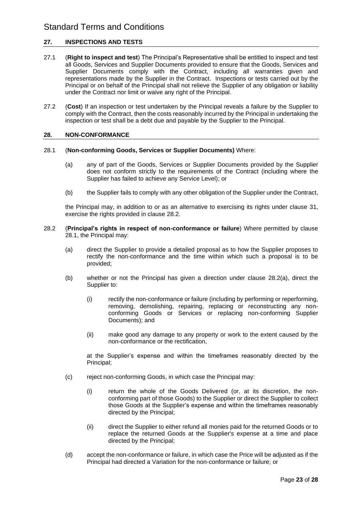### **27. INSPECTIONS AND TESTS**

- 27.1 (**Right to inspect and test**) The Principal's Representative shall be entitled to inspect and test all Goods, Services and Supplier Documents provided to ensure that the Goods, Services and Supplier Documents comply with the Contract, including all warranties given and representations made by the Supplier in the Contract. Inspections or tests carried out by the Principal or on behalf of the Principal shall not relieve the Supplier of any obligation or liability under the Contract nor limit or waive any right of the Principal.
- 27.2 (**Cost**) If an inspection or test undertaken by the Principal reveals a failure by the Supplier to comply with the Contract, then the costs reasonably incurred by the Principal in undertaking the inspection or test shall be a debt due and payable by the Supplier to the Principal.

### **28. NON-CONFORMANCE**

#### 28.1 (**Non-conforming Goods, Services or Supplier Documents)** Where:

- (a) any of part of the Goods, Services or Supplier Documents provided by the Supplier does not conform strictly to the requirements of the Contract (including where the Supplier has failed to achieve any Service Level); or
- (b) the Supplier fails to comply with any other obligation of the Supplier under the Contract,

the Principal may, in addition to or as an alternative to exercising its rights under clause 31, exercise the rights provided in clause 28.2.

- 28.2 (**Principal's rights in respect of non-conformance or failure**) Where permitted by clause 28.1, the Principal may:
	- (a) direct the Supplier to provide a detailed proposal as to how the Supplier proposes to rectify the non-conformance and the time within which such a proposal is to be provided;
	- (b) whether or not the Principal has given a direction under clause 28.2(a), direct the Supplier to:
		- (i) rectify the non-conformance or failure (including by performing or reperforming, removing, demolishing, repairing, replacing or reconstructing any nonconforming Goods or Services or replacing non-conforming Supplier Documents); and
		- (ii) make good any damage to any property or work to the extent caused by the non-conformance or the rectification,

at the Supplier's expense and within the timeframes reasonably directed by the Principal;

- (c) reject non-conforming Goods, in which case the Principal may:
	- (i) return the whole of the Goods Delivered (or, at its discretion, the nonconforming part of those Goods) to the Supplier or direct the Supplier to collect those Goods at the Supplier's expense and within the timeframes reasonably directed by the Principal;
	- (ii) direct the Supplier to either refund all monies paid for the returned Goods or to replace the returned Goods at the Supplier's expense at a time and place directed by the Principal;
- (d) accept the non-conformance or failure, in which case the Price will be adjusted as if the Principal had directed a Variation for the non-conformance or failure; or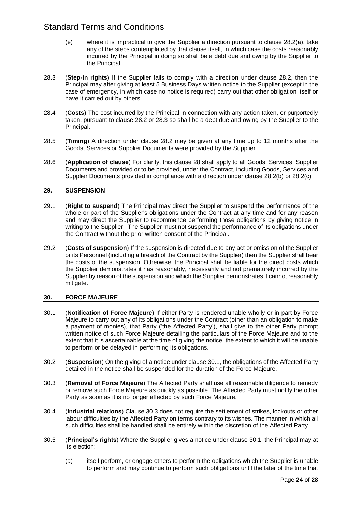- (e) where it is impractical to give the Supplier a direction pursuant to clause 28.2(a), take any of the steps contemplated by that clause itself, in which case the costs reasonably incurred by the Principal in doing so shall be a debt due and owing by the Supplier to the Principal.
- 28.3 (**Step-in rights**) If the Supplier fails to comply with a direction under clause 28.2, then the Principal may after giving at least 5 Business Days written notice to the Supplier (except in the case of emergency, in which case no notice is required) carry out that other obligation itself or have it carried out by others.
- 28.4 (**Costs**) The cost incurred by the Principal in connection with any action taken, or purportedly taken, pursuant to clause 28.2 or 28.3 so shall be a debt due and owing by the Supplier to the Principal.
- 28.5 (**Timing**) A direction under clause 28.2 may be given at any time up to 12 months after the Goods, Services or Supplier Documents were provided by the Supplier.
- 28.6 (**Application of clause**) For clarity, this clause 28 shall apply to all Goods, Services, Supplier Documents and provided or to be provided, under the Contract, including Goods, Services and Supplier Documents provided in compliance with a direction under clause 28.2(b) or 28.2(c)

### **29. SUSPENSION**

- 29.1 (**Right to suspend**) The Principal may direct the Supplier to suspend the performance of the whole or part of the Supplier's obligations under the Contract at any time and for any reason and may direct the Supplier to recommence performing those obligations by giving notice in writing to the Supplier. The Supplier must not suspend the performance of its obligations under the Contract without the prior written consent of the Principal.
- 29.2 (**Costs of suspension**) If the suspension is directed due to any act or omission of the Supplier or its Personnel (including a breach of the Contract by the Supplier) then the Supplier shall bear the costs of the suspension. Otherwise, the Principal shall be liable for the direct costs which the Supplier demonstrates it has reasonably, necessarily and not prematurely incurred by the Supplier by reason of the suspension and which the Supplier demonstrates it cannot reasonably mitigate.

### **30. FORCE MAJEURE**

- 30.1 (**Notification of Force Majeure**) If either Party is rendered unable wholly or in part by Force Majeure to carry out any of its obligations under the Contract (other than an obligation to make a payment of monies), that Party ('the Affected Party'), shall give to the other Party prompt written notice of such Force Majeure detailing the particulars of the Force Majeure and to the extent that it is ascertainable at the time of giving the notice, the extent to which it will be unable to perform or be delayed in performing its obligations.
- 30.2 (**Suspension**) On the giving of a notice under clause 30.1, the obligations of the Affected Party detailed in the notice shall be suspended for the duration of the Force Majeure.
- 30.3 (**Removal of Force Majeure**) The Affected Party shall use all reasonable diligence to remedy or remove such Force Majeure as quickly as possible. The Affected Party must notify the other Party as soon as it is no longer affected by such Force Majeure.
- 30.4 (**Industrial relations**) Clause 30.3 does not require the settlement of strikes, lockouts or other labour difficulties by the Affected Party on terms contrary to its wishes. The manner in which all such difficulties shall be handled shall be entirely within the discretion of the Affected Party.
- 30.5 (**Principal's rights**) Where the Supplier gives a notice under clause 30.1, the Principal may at its election:
	- (a) itself perform, or engage others to perform the obligations which the Supplier is unable to perform and may continue to perform such obligations until the later of the time that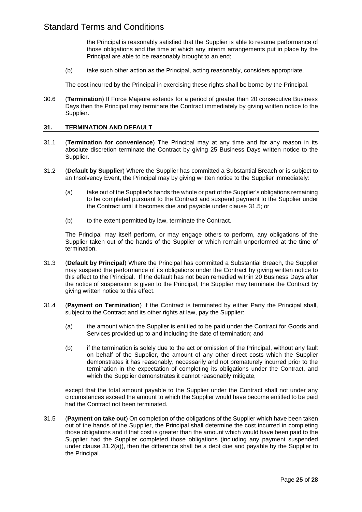the Principal is reasonably satisfied that the Supplier is able to resume performance of those obligations and the time at which any interim arrangements put in place by the Principal are able to be reasonably brought to an end;

(b) take such other action as the Principal, acting reasonably, considers appropriate.

The cost incurred by the Principal in exercising these rights shall be borne by the Principal.

30.6 (**Termination**) If Force Majeure extends for a period of greater than 20 consecutive Business Days then the Principal may terminate the Contract immediately by giving written notice to the Supplier.

### **31. TERMINATION AND DEFAULT**

- 31.1 (**Termination for convenience**) The Principal may at any time and for any reason in its absolute discretion terminate the Contract by giving 25 Business Days written notice to the Supplier.
- 31.2 (**Default by Supplier**) Where the Supplier has committed a Substantial Breach or is subject to an Insolvency Event, the Principal may by giving written notice to the Supplier immediately:
	- (a) take out of the Supplier's hands the whole or part of the Supplier's obligations remaining to be completed pursuant to the Contract and suspend payment to the Supplier under the Contract until it becomes due and payable under clause 31.5; or
	- (b) to the extent permitted by law, terminate the Contract.

The Principal may itself perform, or may engage others to perform, any obligations of the Supplier taken out of the hands of the Supplier or which remain unperformed at the time of termination.

- 31.3 (**Default by Principal**) Where the Principal has committed a Substantial Breach, the Supplier may suspend the performance of its obligations under the Contract by giving written notice to this effect to the Principal. If the default has not been remedied within 20 Business Days after the notice of suspension is given to the Principal, the Supplier may terminate the Contract by giving written notice to this effect.
- 31.4 (**Payment on Termination**) If the Contract is terminated by either Party the Principal shall, subject to the Contract and its other rights at law, pay the Supplier:
	- (a) the amount which the Supplier is entitled to be paid under the Contract for Goods and Services provided up to and including the date of termination; and
	- (b) if the termination is solely due to the act or omission of the Principal, without any fault on behalf of the Supplier, the amount of any other direct costs which the Supplier demonstrates it has reasonably, necessarily and not prematurely incurred prior to the termination in the expectation of completing its obligations under the Contract, and which the Supplier demonstrates it cannot reasonably mitigate,

except that the total amount payable to the Supplier under the Contract shall not under any circumstances exceed the amount to which the Supplier would have become entitled to be paid had the Contract not been terminated.

31.5 (**Payment on take out**) On completion of the obligations of the Supplier which have been taken out of the hands of the Supplier, the Principal shall determine the cost incurred in completing those obligations and if that cost is greater than the amount which would have been paid to the Supplier had the Supplier completed those obligations (including any payment suspended under clause 31.2(a)), then the difference shall be a debt due and payable by the Supplier to the Principal.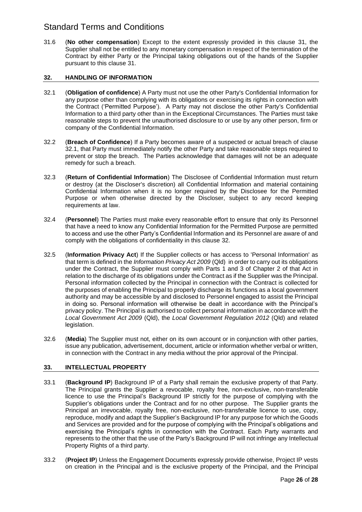31.6 (**No other compensation**) Except to the extent expressly provided in this clause 31, the Supplier shall not be entitled to any monetary compensation in respect of the termination of the Contract by either Party or the Principal taking obligations out of the hands of the Supplier pursuant to this clause 31.

### **32. HANDLING OF INFORMATION**

- 32.1 (**Obligation of confidence**) A Party must not use the other Party's Confidential Information for any purpose other than complying with its obligations or exercising its rights in connection with the Contract ('Permitted Purpose'). A Party may not disclose the other Party's Confidential Information to a third party other than in the Exceptional Circumstances. The Parties must take reasonable steps to prevent the unauthorised disclosure to or use by any other person, firm or company of the Confidential Information.
- 32.2 (**Breach of Confidence**) If a Party becomes aware of a suspected or actual breach of clause 32.1, that Party must immediately notify the other Party and take reasonable steps required to prevent or stop the breach. The Parties acknowledge that damages will not be an adequate remedy for such a breach.
- 32.3 (**Return of Confidential Information**) The Disclosee of Confidential Information must return or destroy (at the Discloser's discretion) all Confidential Information and material containing Confidential Information when it is no longer required by the Disclosee for the Permitted Purpose or when otherwise directed by the Discloser, subject to any record keeping requirements at law.
- 32.4 (**Personnel**) The Parties must make every reasonable effort to ensure that only its Personnel that have a need to know any Confidential Information for the Permitted Purpose are permitted to access and use the other Party's Confidential Information and its Personnel are aware of and comply with the obligations of confidentiality in this clause 32.
- 32.5 (**Information Privacy Act**) If the Supplier collects or has access to 'Personal Information' as that term is defined in the *Information Privacy Act 2009* (Qld) in order to carry out its obligations under the Contract, the Supplier must comply with Parts 1 and 3 of Chapter 2 of that Act in relation to the discharge of its obligations under the Contract as if the Supplier was the Principal. Personal information collected by the Principal in connection with the Contract is collected for the purposes of enabling the Principal to properly discharge its functions as a local government authority and may be accessible by and disclosed to Personnel engaged to assist the Principal in doing so. Personal information will otherwise be dealt in accordance with the Principal's privacy policy. The Principal is authorised to collect personal information in accordance with the *Local Government Act 2009* (Qld), the *Local Government Regulation 2012* (Qld) and related legislation.
- 32.6 (**Media**) The Supplier must not, either on its own account or in conjunction with other parties, issue any publication, advertisement, document, article or information whether verbal or written, in connection with the Contract in any media without the prior approval of the Principal.

### **33. INTELLECTUAL PROPERTY**

- 33.1 (**Background IP**) Background IP of a Party shall remain the exclusive property of that Party. The Principal grants the Supplier a revocable, royalty free, non-exclusive, non-transferable licence to use the Principal's Background IP strictly for the purpose of complying with the Supplier's obligations under the Contract and for no other purpose. The Supplier grants the Principal an irrevocable, royalty free, non-exclusive, non-transferable licence to use, copy, reproduce, modify and adapt the Supplier's Background IP for any purpose for which the Goods and Services are provided and for the purpose of complying with the Principal's obligations and exercising the Principal's rights in connection with the Contract. Each Party warrants and represents to the other that the use of the Party's Background IP will not infringe any Intellectual Property Rights of a third party.
- 33.2 (**Project IP**) Unless the Engagement Documents expressly provide otherwise, Project IP vests on creation in the Principal and is the exclusive property of the Principal, and the Principal